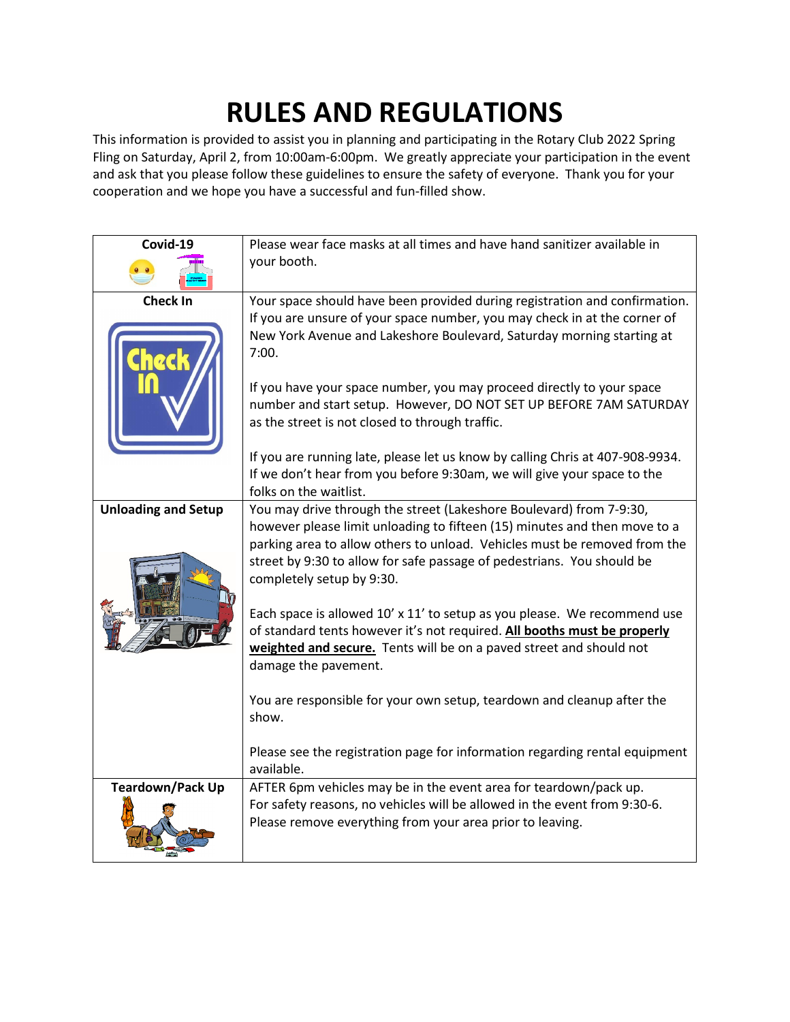## **RULES AND REGULATIONS**

This information is provided to assist you in planning and participating in the Rotary Club 2022 Spring Fling on Saturday, April 2, from 10:00am-6:00pm. We greatly appreciate your participation in the event and ask that you please follow these guidelines to ensure the safety of everyone. Thank you for your cooperation and we hope you have a successful and fun-filled show.

| Covid-19                   | Please wear face masks at all times and have hand sanitizer available in<br>your booth.                                                                                                                                                                                                                                              |
|----------------------------|--------------------------------------------------------------------------------------------------------------------------------------------------------------------------------------------------------------------------------------------------------------------------------------------------------------------------------------|
|                            |                                                                                                                                                                                                                                                                                                                                      |
| <b>Check In</b>            | Your space should have been provided during registration and confirmation.<br>If you are unsure of your space number, you may check in at the corner of<br>New York Avenue and Lakeshore Boulevard, Saturday morning starting at<br>7:00.                                                                                            |
|                            | If you have your space number, you may proceed directly to your space<br>number and start setup. However, DO NOT SET UP BEFORE 7AM SATURDAY<br>as the street is not closed to through traffic.                                                                                                                                       |
|                            | If you are running late, please let us know by calling Chris at 407-908-9934.<br>If we don't hear from you before 9:30am, we will give your space to the<br>folks on the waitlist.                                                                                                                                                   |
| <b>Unloading and Setup</b> | You may drive through the street (Lakeshore Boulevard) from 7-9:30,<br>however please limit unloading to fifteen (15) minutes and then move to a<br>parking area to allow others to unload. Vehicles must be removed from the<br>street by 9:30 to allow for safe passage of pedestrians. You should be<br>completely setup by 9:30. |
|                            | Each space is allowed 10' x 11' to setup as you please. We recommend use<br>of standard tents however it's not required. All booths must be properly<br>weighted and secure. Tents will be on a paved street and should not<br>damage the pavement.                                                                                  |
|                            | You are responsible for your own setup, teardown and cleanup after the<br>show.                                                                                                                                                                                                                                                      |
|                            | Please see the registration page for information regarding rental equipment<br>available.                                                                                                                                                                                                                                            |
| <b>Teardown/Pack Up</b>    | AFTER 6pm vehicles may be in the event area for teardown/pack up.<br>For safety reasons, no vehicles will be allowed in the event from 9:30-6.<br>Please remove everything from your area prior to leaving.                                                                                                                          |